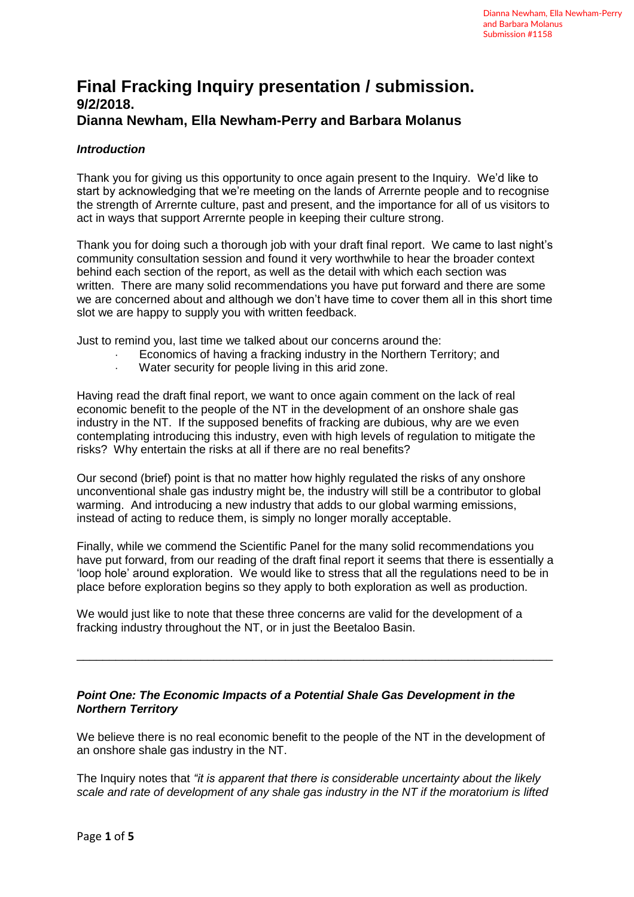# **Final Fracking Inquiry presentation / submission. 9/2/2018. Dianna Newham, Ella Newham-Perry and Barbara Molanus**

# *Introduction*

Thank you for giving us this opportunity to once again present to the Inquiry. We'd like to start by acknowledging that we're meeting on the lands of Arrernte people and to recognise the strength of Arrernte culture, past and present, and the importance for all of us visitors to act in ways that support Arrernte people in keeping their culture strong.

Thank you for doing such a thorough job with your draft final report. We came to last night's community consultation session and found it very worthwhile to hear the broader context behind each section of the report, as well as the detail with which each section was written. There are many solid recommendations you have put forward and there are some we are concerned about and although we don't have time to cover them all in this short time slot we are happy to supply you with written feedback.

Just to remind you, last time we talked about our concerns around the:

- Economics of having a fracking industry in the Northern Territory; and
- · Water security for people living in this arid zone.

Having read the draft final report, we want to once again comment on the lack of real economic benefit to the people of the NT in the development of an onshore shale gas industry in the NT. If the supposed benefits of fracking are dubious, why are we even contemplating introducing this industry, even with high levels of regulation to mitigate the risks? Why entertain the risks at all if there are no real benefits?

Our second (brief) point is that no matter how highly regulated the risks of any onshore unconventional shale gas industry might be, the industry will still be a contributor to global warming. And introducing a new industry that adds to our global warming emissions, instead of acting to reduce them, is simply no longer morally acceptable.

Finally, while we commend the Scientific Panel for the many solid recommendations you have put forward, from our reading of the draft final report it seems that there is essentially a 'loop hole' around exploration. We would like to stress that all the regulations need to be in place before exploration begins so they apply to both exploration as well as production.

\_\_\_\_\_\_\_\_\_\_\_\_\_\_\_\_\_\_\_\_\_\_\_\_\_\_\_\_\_\_\_\_\_\_\_\_\_\_\_\_\_\_\_\_\_\_\_\_\_\_\_\_\_\_\_\_\_\_\_\_\_\_\_\_\_\_\_\_\_\_\_\_\_

We would just like to note that these three concerns are valid for the development of a fracking industry throughout the NT, or in just the Beetaloo Basin.

# *Point One: The Economic Impacts of a Potential Shale Gas Development in the Northern Territory*

We believe there is no real economic benefit to the people of the NT in the development of an onshore shale gas industry in the NT.

The Inquiry notes that *"it is apparent that there is considerable uncertainty about the likely scale and rate of development of any shale gas industry in the NT if the moratorium is lifted*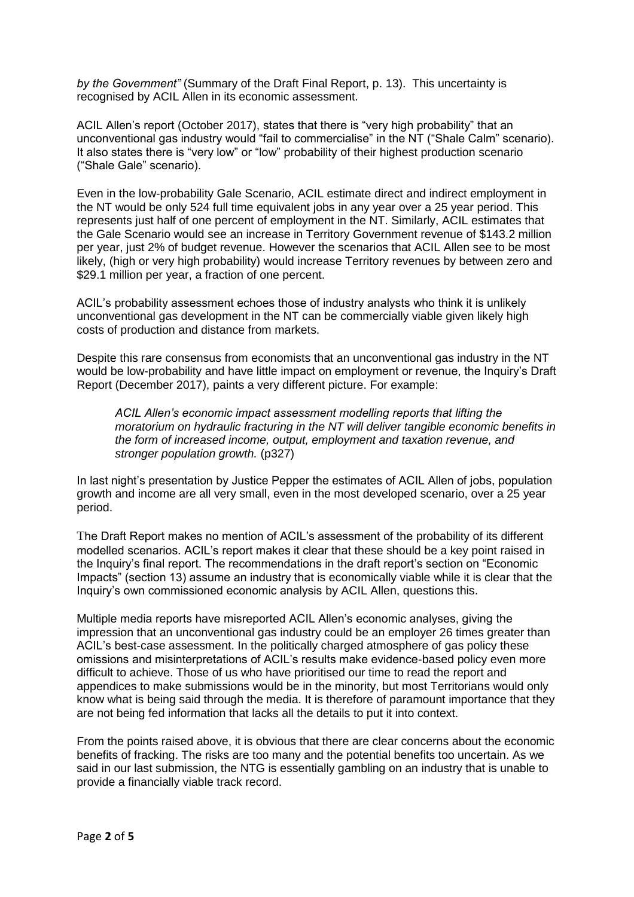*by the Government"* (Summary of the Draft Final Report, p. 13). This uncertainty is recognised by ACIL Allen in its economic assessment.

ACIL Allen's report (October 2017), states that there is "very high probability" that an unconventional gas industry would "fail to commercialise" in the NT ("Shale Calm" scenario). It also states there is "very low" or "low" probability of their highest production scenario ("Shale Gale" scenario).

Even in the low-probability Gale Scenario, ACIL estimate direct and indirect employment in the NT would be only 524 full time equivalent jobs in any year over a 25 year period. This represents just half of one percent of employment in the NT. Similarly, ACIL estimates that the Gale Scenario would see an increase in Territory Government revenue of \$143.2 million per year, just 2% of budget revenue. However the scenarios that ACIL Allen see to be most likely, (high or very high probability) would increase Territory revenues by between zero and \$29.1 million per year, a fraction of one percent.

ACIL's probability assessment echoes those of industry analysts who think it is unlikely unconventional gas development in the NT can be commercially viable given likely high costs of production and distance from markets.

Despite this rare consensus from economists that an unconventional gas industry in the NT would be low-probability and have little impact on employment or revenue, the Inquiry's Draft Report (December 2017), paints a very different picture. For example:

*ACIL Allen's economic impact assessment modelling reports that lifting the moratorium on hydraulic fracturing in the NT will deliver tangible economic benefits in the form of increased income, output, employment and taxation revenue, and stronger population growth.* (p327)

In last night's presentation by Justice Pepper the estimates of ACIL Allen of jobs, population growth and income are all very small, even in the most developed scenario, over a 25 year period.

The Draft Report makes no mention of ACIL's assessment of the probability of its different modelled scenarios. ACIL's report makes it clear that these should be a key point raised in the Inquiry's final report. The recommendations in the draft report's section on "Economic Impacts" (section 13) assume an industry that is economically viable while it is clear that the Inquiry's own commissioned economic analysis by ACIL Allen, questions this.

Multiple media reports have misreported ACIL Allen's economic analyses, giving the impression that an unconventional gas industry could be an employer 26 times greater than ACIL's best-case assessment. In the politically charged atmosphere of gas policy these omissions and misinterpretations of ACIL's results make evidence-based policy even more difficult to achieve. Those of us who have prioritised our time to read the report and appendices to make submissions would be in the minority, but most Territorians would only know what is being said through the media. It is therefore of paramount importance that they are not being fed information that lacks all the details to put it into context.

From the points raised above, it is obvious that there are clear concerns about the economic benefits of fracking. The risks are too many and the potential benefits too uncertain. As we said in our last submission, the NTG is essentially gambling on an industry that is unable to provide a financially viable track record.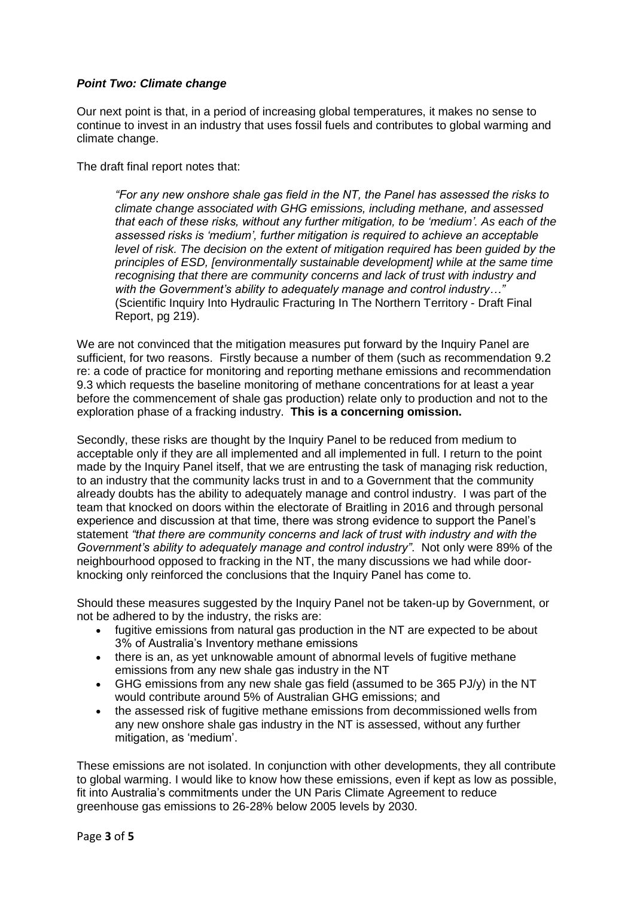### *Point Two: Climate change*

Our next point is that, in a period of increasing global temperatures, it makes no sense to continue to invest in an industry that uses fossil fuels and contributes to global warming and climate change.

The draft final report notes that:

*"For any new onshore shale gas field in the NT, the Panel has assessed the risks to climate change associated with GHG emissions, including methane, and assessed that each of these risks, without any further mitigation, to be 'medium'. As each of the assessed risks is 'medium', further mitigation is required to achieve an acceptable level of risk. The decision on the extent of mitigation required has been guided by the principles of ESD, [environmentally sustainable development] while at the same time recognising that there are community concerns and lack of trust with industry and with the Government's ability to adequately manage and control industry…"* (Scientific Inquiry Into Hydraulic Fracturing In The Northern Territory - Draft Final Report, pg 219).

We are not convinced that the mitigation measures put forward by the Inquiry Panel are sufficient, for two reasons. Firstly because a number of them (such as recommendation 9.2 re: a code of practice for monitoring and reporting methane emissions and recommendation 9.3 which requests the baseline monitoring of methane concentrations for at least a year before the commencement of shale gas production) relate only to production and not to the exploration phase of a fracking industry. **This is a concerning omission.**

Secondly, these risks are thought by the Inquiry Panel to be reduced from medium to acceptable only if they are all implemented and all implemented in full. I return to the point made by the Inquiry Panel itself, that we are entrusting the task of managing risk reduction, to an industry that the community lacks trust in and to a Government that the community already doubts has the ability to adequately manage and control industry. I was part of the team that knocked on doors within the electorate of Braitling in 2016 and through personal experience and discussion at that time, there was strong evidence to support the Panel's statement *"that there are community concerns and lack of trust with industry and with the Government's ability to adequately manage and control industry"*. Not only were 89% of the neighbourhood opposed to fracking in the NT, the many discussions we had while doorknocking only reinforced the conclusions that the Inquiry Panel has come to.

Should these measures suggested by the Inquiry Panel not be taken-up by Government, or not be adhered to by the industry, the risks are:

- fugitive emissions from natural gas production in the NT are expected to be about 3% of Australia's Inventory methane emissions
- there is an, as yet unknowable amount of abnormal levels of fugitive methane emissions from any new shale gas industry in the NT
- GHG emissions from any new shale gas field (assumed to be 365 PJ/y) in the NT would contribute around 5% of Australian GHG emissions; and
- the assessed risk of fugitive methane emissions from decommissioned wells from any new onshore shale gas industry in the NT is assessed, without any further mitigation, as 'medium'.

These emissions are not isolated. In conjunction with other developments, they all contribute to global warming. I would like to know how these emissions, even if kept as low as possible, fit into Australia's commitments under the UN Paris Climate Agreement to reduce greenhouse gas emissions to 26-28% below 2005 levels by 2030.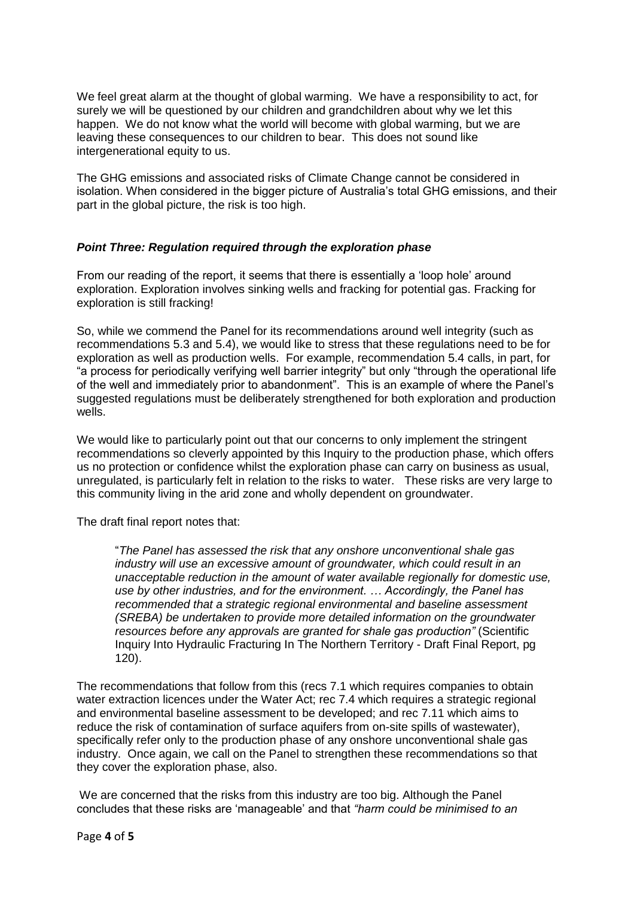We feel great alarm at the thought of global warming. We have a responsibility to act, for surely we will be questioned by our children and grandchildren about why we let this happen. We do not know what the world will become with global warming, but we are leaving these consequences to our children to bear. This does not sound like intergenerational equity to us.

The GHG emissions and associated risks of Climate Change cannot be considered in isolation. When considered in the bigger picture of Australia's total GHG emissions, and their part in the global picture, the risk is too high.

# *Point Three: Regulation required through the exploration phase*

From our reading of the report, it seems that there is essentially a 'loop hole' around exploration. Exploration involves sinking wells and fracking for potential gas. Fracking for exploration is still fracking!

So, while we commend the Panel for its recommendations around well integrity (such as recommendations 5.3 and 5.4), we would like to stress that these regulations need to be for exploration as well as production wells. For example, recommendation 5.4 calls, in part, for "a process for periodically verifying well barrier integrity" but only "through the operational life of the well and immediately prior to abandonment". This is an example of where the Panel's suggested regulations must be deliberately strengthened for both exploration and production wells.

We would like to particularly point out that our concerns to only implement the stringent recommendations so cleverly appointed by this Inquiry to the production phase, which offers us no protection or confidence whilst the exploration phase can carry on business as usual, unregulated, is particularly felt in relation to the risks to water. These risks are very large to this community living in the arid zone and wholly dependent on groundwater.

The draft final report notes that:

"*The Panel has assessed the risk that any onshore unconventional shale gas industry will use an excessive amount of groundwater, which could result in an unacceptable reduction in the amount of water available regionally for domestic use, use by other industries, and for the environment. … Accordingly, the Panel has recommended that a strategic regional environmental and baseline assessment (SREBA) be undertaken to provide more detailed information on the groundwater resources before any approvals are granted for shale gas production"* (Scientific Inquiry Into Hydraulic Fracturing In The Northern Territory - Draft Final Report, pg 120).

The recommendations that follow from this (recs 7.1 which requires companies to obtain water extraction licences under the Water Act; rec 7.4 which requires a strategic regional and environmental baseline assessment to be developed; and rec 7.11 which aims to reduce the risk of contamination of surface aquifers from on-site spills of wastewater), specifically refer only to the production phase of any onshore unconventional shale gas industry. Once again, we call on the Panel to strengthen these recommendations so that they cover the exploration phase, also.

We are concerned that the risks from this industry are too big. Although the Panel concludes that these risks are 'manageable' and that *"harm could be minimised to an*